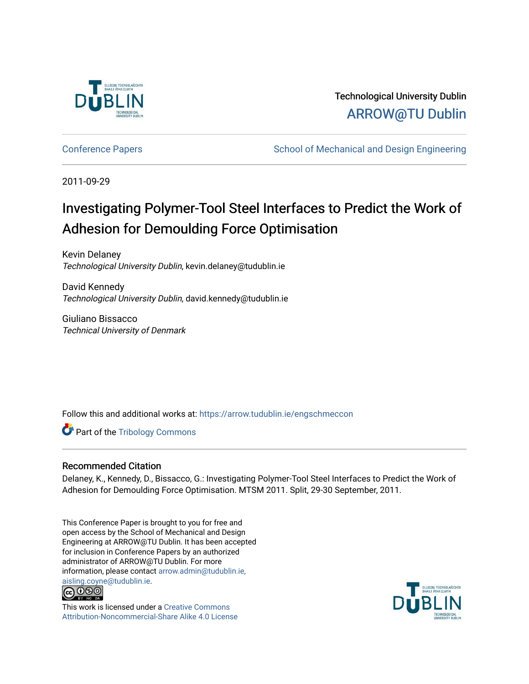

Technological University Dublin [ARROW@TU Dublin](https://arrow.tudublin.ie/) 

[Conference Papers](https://arrow.tudublin.ie/engschmeccon) **School of Mechanical and Design Engineering** School of Mechanical and Design Engineering

2011-09-29

# Investigating Polymer-Tool Steel Interfaces to Predict the Work of Adhesion for Demoulding Force Optimisation

Kevin Delaney Technological University Dublin, kevin.delaney@tudublin.ie

David Kennedy Technological University Dublin, david.kennedy@tudublin.ie

Giuliano Bissacco Technical University of Denmark

Follow this and additional works at: [https://arrow.tudublin.ie/engschmeccon](https://arrow.tudublin.ie/engschmeccon?utm_source=arrow.tudublin.ie%2Fengschmeccon%2F46&utm_medium=PDF&utm_campaign=PDFCoverPages) 

**Part of the Tribology Commons** 

# Recommended Citation

Delaney, K., Kennedy, D., Bissacco, G.: Investigating Polymer-Tool Steel Interfaces to Predict the Work of Adhesion for Demoulding Force Optimisation. MTSM 2011. Split, 29-30 September, 2011.

This Conference Paper is brought to you for free and open access by the School of Mechanical and Design Engineering at ARROW@TU Dublin. It has been accepted for inclusion in Conference Papers by an authorized administrator of ARROW@TU Dublin. For more information, please contact [arrow.admin@tudublin.ie,](mailto:arrow.admin@tudublin.ie,%20aisling.coyne@tudublin.ie)  [aisling.coyne@tudublin.ie.](mailto:arrow.admin@tudublin.ie,%20aisling.coyne@tudublin.ie)<br>© 090



This work is licensed under a [Creative Commons](http://creativecommons.org/licenses/by-nc-sa/4.0/) [Attribution-Noncommercial-Share Alike 4.0 License](http://creativecommons.org/licenses/by-nc-sa/4.0/)

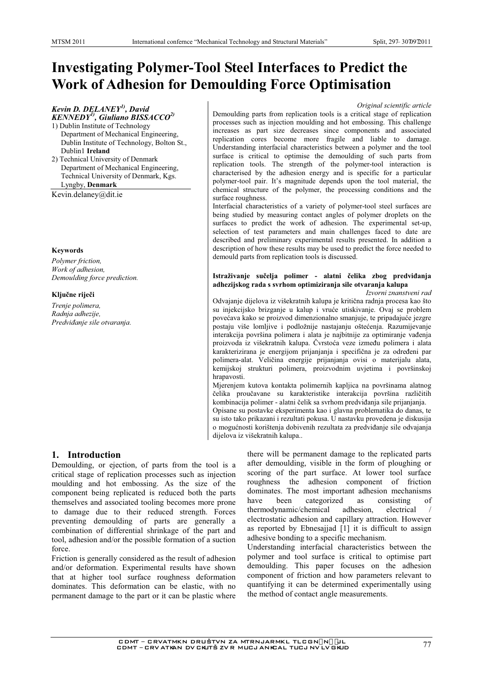# **Investigating Polymer-Tool Steel Interfaces to Predict the Work of Adhesion for Demoulding Force Optimisation**

### Kevin D. DELANEY<sup>1)</sup>, David **KENNEDY<sup>1)</sup>**, Giuliano BISSACCO<sup>2)</sup>

- 1) Dublin Institute of Technology Department of Mechanical Engineering, Dublin Institute of Technology, Bolton St., Dublin1 Ireland
- 2) Technical University of Denmark Department of Mechanical Engineering, Technical University of Denmark, Kgs. Lyngby, Denmark

Kevin.delaney@dit.ie

### **Keywords**

Polymer friction, Work of adhesion, Demoulding force prediction.

### Ključne riječi

Trenje polimera, Radnja adhezije, Predviđanje sile otvaranja.

### Original scientific article

Demoulding parts from replication tools is a critical stage of replication processes such as injection moulding and hot embossing. This challenge increases as part size decreases since components and associated replication cores become more fragile and liable to damage. Understanding interfacial characteristics between a polymer and the tool surface is critical to optimise the demoulding of such parts from replication tools. The strength of the polymer-tool interaction is characterised by the adhesion energy and is specific for a particular polymer-tool pair. It's magnitude depends upon the tool material, the chemical structure of the polymer, the processing conditions and the surface roughness.

Interfacial characteristics of a variety of polymer-tool steel surfaces are being studied by measuring contact angles of polymer droplets on the surfaces to predict the work of adhesion. The experimental set-up, selection of test parameters and main challenges faced to date are described and preliminary experimental results presented. In addition a description of how these results may be used to predict the force needed to demould parts from replication tools is discussed.

# Istraživanie sučelia polimer - alatni čelika zbog predviđania adhezijskog rada s svrhom optimiziranja sile otvaranja kalupa

Izvorni znanstveni rad

Odvajanje dijelova iz višekratnih kalupa je kritična radnja procesa kao što su injekcijsko brizganje u kalup i vruće utiskivanje. Ovaj se problem povećava kako se proizvod dimenzionalno smanjuje, te pripadajuće jezgre postaju više lomljive i podložnije nastajanju oštećenja. Razumijevanje interakcija površina polimera i alata je najbitnije za optimiranje vađenja proizvoda iz višekratnih kalupa. Čvrstoća veze između polimera i alata karakterizirana je energijom prijanjanja i specifična je za određeni par polimera-alat. Veličina energije prijanjanja ovisi o materijalu alata, kemijskoj strukturi polimera, proizvodnim uvjetima i površinskoj hrapavosti.

Mjerenjem kutova kontakta polimernih kapljica na površinama alatnog čelika proučavane su karakteristike interakcija površina različitih kombinacija polimer - alatni čelik sa svrhom predviđanja sile prijanjanja.

Opisane su postavke eksperimenta kao i glavna problematika do danas, te su isto tako prikazani i rezultati pokusa. U nastavku provedena je diskusija o mogućnosti korištenja dobivenih rezultata za predviđanje sile odvajanja dijelova iz višekratnih kalupa...

# 1. Introduction

Demoulding, or ejection, of parts from the tool is a critical stage of replication processes such as injection moulding and hot embossing. As the size of the component being replicated is reduced both the parts themselves and associated tooling becomes more prone to damage due to their reduced strength. Forces preventing demoulding of parts are generally a combination of differential shrinkage of the part and tool, adhesion and/or the possible formation of a suction force.

Friction is generally considered as the result of adhesion and/or deformation. Experimental results have shown that at higher tool surface roughness deformation dominates. This deformation can be elastic, with no permanent damage to the part or it can be plastic where

there will be permanent damage to the replicated parts after demoulding, visible in the form of ploughing or scoring of the part surface. At lower tool surface roughness the adhesion component of friction dominates. The most important adhesion mechanisms categorized as have been consisting of thermodynamic/chemical adhesion, electrical electrostatic adhesion and capillary attraction. However as reported by Ebnesajjad [1] it is difficult to assign adhesive bonding to a specific mechanism.

Understanding interfacial characteristics between the polymer and tool surface is critical to optimise part demoulding. This paper focuses on the adhesion component of friction and how parameters relevant to quantifying it can be determined experimentally using the method of contact angle measurements.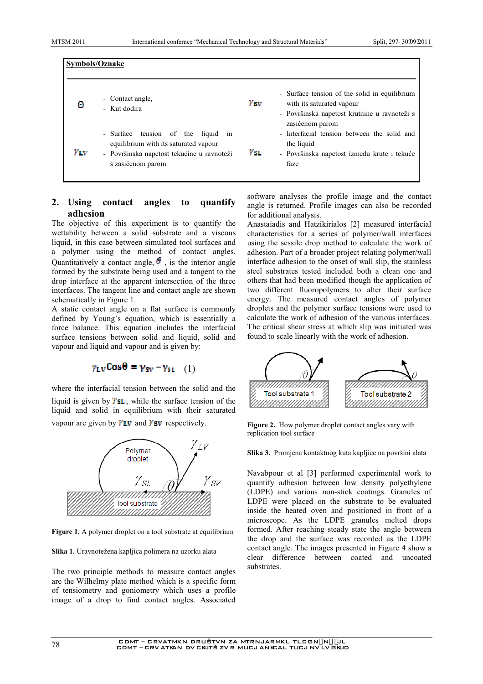|              | Symbols/Oznake                                                                                                                                    |      |                                                                                                                                               |  |  |  |
|--------------|---------------------------------------------------------------------------------------------------------------------------------------------------|------|-----------------------------------------------------------------------------------------------------------------------------------------------|--|--|--|
| 63           | - Contact angle,<br>- Kut dodira                                                                                                                  | Ysv. | - Surface tension of the solid in equilibrium<br>with its saturated vapour<br>- Površinska napetost krutnine u ravnoteži s<br>zasićenom parom |  |  |  |
| $Y_{\rm LV}$ | - Surface<br>tension of the liquid in<br>equilibrium with its saturated vapour<br>- Površinska napetost tekućine u ravnoteži<br>s zasićenom parom | Yst. | - Interfacial tension between the solid and<br>the liquid<br>- Površinska napetost između krute i tekuće<br>faze                              |  |  |  |

#### 2. Using contact angles quantify to adhesion

The objective of this experiment is to quantify the wettability between a solid substrate and a viscous liquid, in this case between simulated tool surfaces and a polymer using the method of contact angles. Quantitatively a contact angle,  $\theta$ , is the interior angle formed by the substrate being used and a tangent to the drop interface at the apparent intersection of the three interfaces. The tangent line and contact angle are shown schematically in Figure 1.

A static contact angle on a flat surface is commonly defined by Young's equation, which is essentially a force balance. This equation includes the interfacial surface tensions between solid and liquid, solid and vapour and liquid and vapour and is given by:

$$
\gamma_{\rm LV} \text{Cos}\theta = \gamma_{\rm SV} - \gamma_{\rm SL} \quad (1)
$$

where the interfacial tension between the solid and the liquid is given by  $\mathbf{Y}\mathbf{S}\mathbf{L}$ , while the surface tension of the liquid and solid in equilibrium with their saturated vapour are given by  $Y_{UV}$  and  $Y_{SV}$  respectively.



Figure 1. A polymer droplet on a tool substrate at equilibrium

Slika 1. Uravnotežena kapljica polimera na uzorku alata

The two principle methods to measure contact angles are the Wilhelmy plate method which is a specific form of tensiometry and goniometry which uses a profile image of a drop to find contact angles. Associated software analyses the profile image and the contact angle is returned. Profile images can also be recorded for additional analysis.

Anastaiadis and Hatzikirialos [2] measured interfacial characteristics for a series of polymer/wall interfaces using the sessile drop method to calculate the work of adhesion. Part of a broader project relating polymer/wall interface adhesion to the onset of wall slip, the stainless steel substrates tested included both a clean one and others that had been modified though the application of two different fluoropolymers to alter their surface energy. The measured contact angles of polymer droplets and the polymer surface tensions were used to calculate the work of adhesion of the various interfaces. The critical shear stress at which slip was initiated was found to scale linearly with the work of adhesion.



Figure 2. How polymer droplet contact angles vary with replication tool surface

Slika 3. Promjena kontaktnog kuta kapljice na površini alata

Navabpour et al [3] performed experimental work to quantify adhesion between low density polyethylene (LDPE) and various non-stick coatings. Granules of LDPE were placed on the substrate to be evaluated inside the heated oven and positioned in front of a microscope. As the LDPE granules melted drops formed. After reaching steady state the angle between the drop and the surface was recorded as the LDPE contact angle. The images presented in Figure 4 show a clear difference between coated and uncoated cubetrates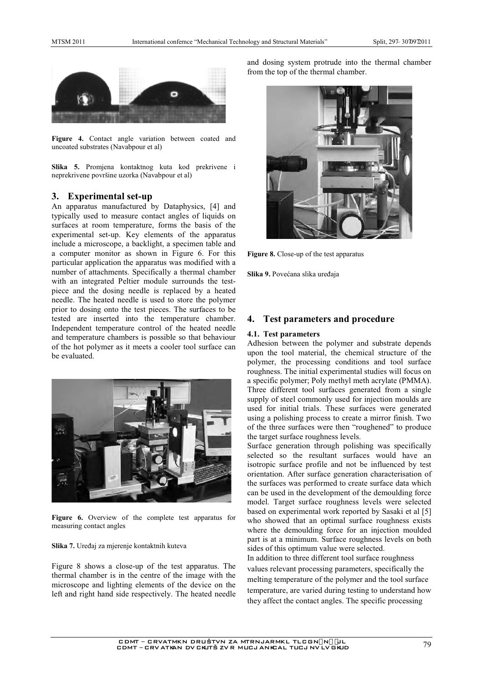

Figure 4. Contact angle variation between coated and uncoated substrates (Navabpour et al)

Slika 5. Promjena kontaktnog kuta kod prekrivene i neprekrivene površine uzorka (Navabpour et al)

## 3. Experimental set-up

An apparatus manufactured by Dataphysics, [4] and typically used to measure contact angles of liquids on surfaces at room temperature, forms the basis of the experimental set-up. Key elements of the apparatus include a microscope, a backlight, a specimen table and a computer monitor as shown in Figure 6. For this particular application the apparatus was modified with a number of attachments. Specifically a thermal chamber with an integrated Peltier module surrounds the testpiece and the dosing needle is replaced by a heated needle. The heated needle is used to store the polymer prior to dosing onto the test pieces. The surfaces to be tested are inserted into the temperature chamber. Independent temperature control of the heated needle and temperature chambers is possible so that behaviour of the hot polymer as it meets a cooler tool surface can be evaluated.



Figure 6. Overview of the complete test apparatus for measuring contact angles

Slika 7. Uređaj za mjerenje kontaktnih kuteva

Figure 8 shows a close-up of the test apparatus. The thermal chamber is in the centre of the image with the microscope and lighting elements of the device on the left and right hand side respectively. The heated needle

and dosing system protrude into the thermal chamber from the top of the thermal chamber.



Figure 8. Close-up of the test apparatus

Slika 9. Povećana slika uređaja

#### **Test parameters and procedure** 4.

### 4.1. Test parameters

Adhesion between the polymer and substrate depends upon the tool material, the chemical structure of the polymer, the processing conditions and tool surface roughness. The initial experimental studies will focus on a specific polymer: Poly methyl meth acrylate (PMMA). Three different tool surfaces generated from a single supply of steel commonly used for injection moulds are used for initial trials. These surfaces were generated using a polishing process to create a mirror finish. Two of the three surfaces were then "roughened" to produce the target surface roughness levels.

Surface generation through polishing was specifically selected so the resultant surfaces would have an isotropic surface profile and not be influenced by test orientation. After surface generation characterisation of the surfaces was performed to create surface data which can be used in the development of the demoulding force model. Target surface roughness levels were selected based on experimental work reported by Sasaki et al [5] who showed that an optimal surface roughness exists where the demoulding force for an injection moulded part is at a minimum. Surface roughness levels on both sides of this optimum value were selected.

In addition to three different tool surface roughness values relevant processing parameters, specifically the melting temperature of the polymer and the tool surface temperature, are varied during testing to understand how they affect the contact angles. The specific processing